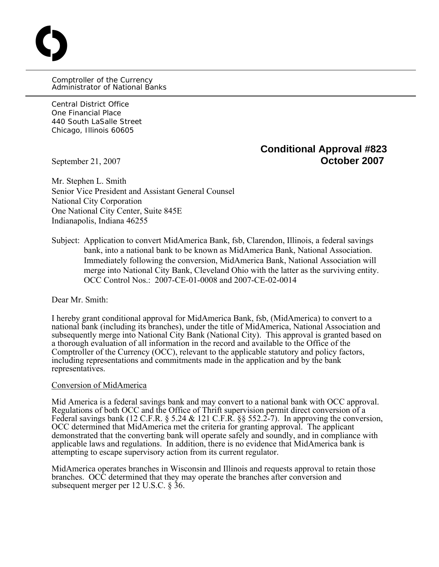Comptroller of the Currency Administrator of National Banks

Central District Office One Financial Place 440 South LaSalle Street Chicago, Illinois 60605

O

# **Conditional Approval #823** September 21, 2007 **October 2007**

Mr. Stephen L. Smith Senior Vice President and Assistant General Counsel National City Corporation One National City Center, Suite 845E Indianapolis, Indiana 46255

Subject: Application to convert MidAmerica Bank, fsb, Clarendon, Illinois, a federal savings bank, into a national bank to be known as MidAmerica Bank, National Association. Immediately following the conversion, MidAmerica Bank, National Association will merge into National City Bank, Cleveland Ohio with the latter as the surviving entity. OCC Control Nos.: 2007-CE-01-0008 and 2007-CE-02-0014

Dear Mr. Smith:

I hereby grant conditional approval for MidAmerica Bank, fsb, (MidAmerica) to convert to a national bank (including its branches), under the title of MidAmerica, National Association and subsequently merge into National City Bank (National City). This approval is granted based on a thorough evaluation of all information in the record and available to the Office of the Comptroller of the Currency (OCC), relevant to the applicable statutory and policy factors, including representations and commitments made in the application and by the bank representatives.

#### Conversion of MidAmerica

Mid America is a federal savings bank and may convert to a national bank with OCC approval. Regulations of both OCC and the Office of Thrift supervision permit direct conversion of a Federal savings bank (12 C.F.R.  $\S 5.24 \& 121 \text{ C.F.R.} \S \S 552.2-7$ ). In approving the conversion, OCC determined that MidAmerica met the criteria for granting approval. The applicant demonstrated that the converting bank will operate safely and soundly, and in compliance with applicable laws and regulations. In addition, there is no evidence that MidAmerica bank is attempting to escape supervisory action from its current regulator.

MidAmerica operates branches in Wisconsin and Illinois and requests approval to retain those branches. OCC determined that they may operate the branches after conversion and subsequent merger per 12 U.S.C. § 36.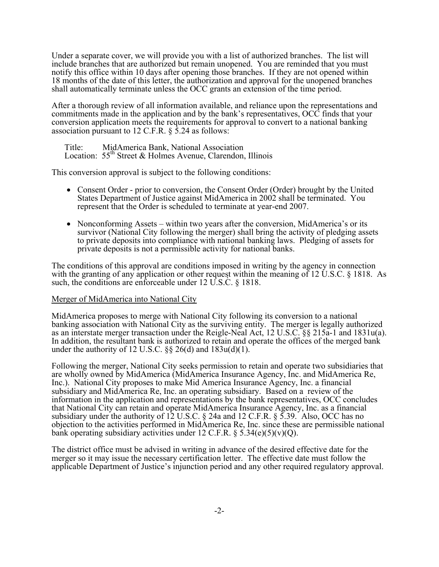Under a separate cover, we will provide you with a list of authorized branches. The list will include branches that are authorized but remain unopened. You are reminded that you must notify this office within 10 days after opening those branches. If they are not opened within 18 months of the date of this letter, the authorization and approval for the unopened branches shall automatically terminate unless the OCC grants an extension of the time period.

After a thorough review of all information available, and reliance upon the representations and commitments made in the application and by the bank's representatives, OCC finds that your conversion application meets the requirements for approval to convert to a national banking association pursuant to 12 C.F.R. § 5.24 as follows:

Title: MidAmerica Bank, National Association Location: 55<sup>th</sup> Street & Holmes Avenue, Clarendon, Illinois

This conversion approval is subject to the following conditions:

- Consent Order prior to conversion, the Consent Order (Order) brought by the United States Department of Justice against MidAmerica in 2002 shall be terminated. You represent that the Order is scheduled to terminate at year-end 2007.
- Nonconforming Assets within two years after the conversion, MidAmerica's or its survivor (National City following the merger) shall bring the activity of pledging assets to private deposits into compliance with national banking laws. Pledging of assets for private deposits is not a permissible activity for national banks.

The conditions of this approval are conditions imposed in writing by the agency in connection with the granting of any application or other request within the meaning of 12 U.S.C. § 1818. As such, the conditions are enforceable under 12 U.S.C. § 1818.

### Merger of MidAmerica into National City

MidAmerica proposes to merge with National City following its conversion to a national banking association with National City as the surviving entity. The merger is legally authorized as an interstate merger transaction under the Reigle-Neal Act, 12 U.S.C. §§ 215a-1 and 1831u(a). In addition, the resultant bank is authorized to retain and operate the offices of the merged bank under the authority of 12 U.S.C.  $\S\S 26(d)$  and  $183u(d)(1)$ .

Following the merger, National City seeks permission to retain and operate two subsidiaries that are wholly owned by MidAmerica (MidAmerica Insurance Agency, Inc. and MidAmerica Re, Inc.). National City proposes to make Mid America Insurance Agency, Inc. a financial subsidiary and MidAmerica Re, Inc. an operating subsidiary. Based on a review of the information in the application and representations by the bank representatives, OCC concludes that National City can retain and operate MidAmerica Insurance Agency, Inc. as a financial subsidiary under the authority of 12 U.S.C. § 24a and 12 C.F.R. § 5.39. Also, OCC has no objection to the activities performed in MidAmerica Re, Inc. since these are permissible national bank operating subsidiary activities under 12 C.F.R.  $\S$  5.34(e)(5)(v)(Q).

The district office must be advised in writing in advance of the desired effective date for the merger so it may issue the necessary certification letter. The effective date must follow the applicable Department of Justice's injunction period and any other required regulatory approval.